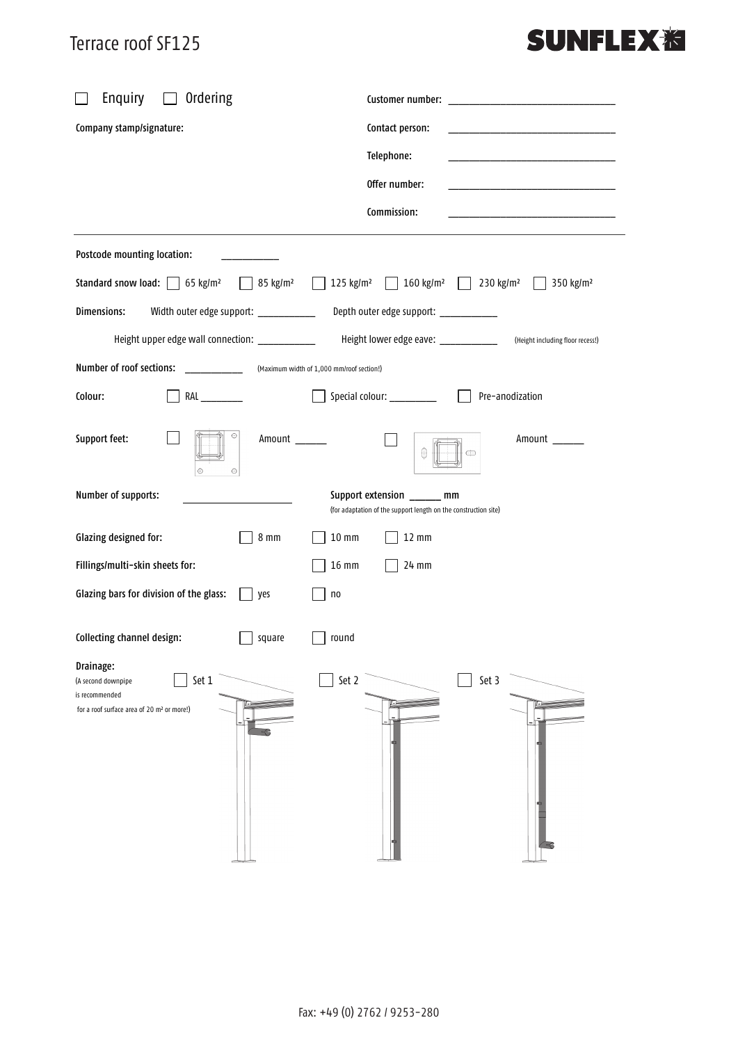#### Terrace roof SF125

### **SUNFLEX<sup>%</sup>**

| Enquiry<br>Ordering                                                                                                  |                                                                                                           |
|----------------------------------------------------------------------------------------------------------------------|-----------------------------------------------------------------------------------------------------------|
| Company stamp/signature:                                                                                             | Contact person:                                                                                           |
|                                                                                                                      | Telephone:                                                                                                |
|                                                                                                                      | Offer number:                                                                                             |
|                                                                                                                      | Commission:                                                                                               |
| Postcode mounting location:                                                                                          |                                                                                                           |
| Standard snow load: $\Box$ 65 kg/m <sup>2</sup><br>85 kg/m <sup>2</sup>                                              | $\Box$ 160 kg/m <sup>2</sup><br>$125$ kg/m <sup>2</sup><br>230 kg/m <sup>2</sup><br>350 kg/m <sup>2</sup> |
| Dimensions:<br>Width outer edge support: ____________                                                                | Depth outer edge support: ___________                                                                     |
| Height upper edge wall connection: ___________                                                                       | Height lower edge eave: _____________<br>(Height including floor recess!)                                 |
| Number of roof sections:<br>$\mathcal{L}^{\text{max}}$ , where $\mathcal{L}^{\text{max}}$                            | (Maximum width of 1,000 mm/roof section!)                                                                 |
| Colour:<br>RAL                                                                                                       | Special colour: ___________<br>Pre-anodization                                                            |
| $_{\oplus}$<br>Support feet:<br>Amount<br>$\bigodot$<br>$_{\oplus}$                                                  | Amount<br>$\oplus$                                                                                        |
| Number of supports:                                                                                                  | Support extension ______ mm<br>(for adaptation of the support length on the construction site)            |
| Glazing designed for:<br>$8 \text{ mm}$                                                                              | $10 \text{ mm}$<br>$12 \text{ mm}$                                                                        |
| Fillings/multi-skin sheets for:                                                                                      | 16 mm<br>24 mm                                                                                            |
| Glazing bars for division of the glass:<br>yes                                                                       | n <sub>0</sub>                                                                                            |
| Collecting channel design:<br>square                                                                                 | round                                                                                                     |
| Drainage:<br>Set 1<br>(A second downpipe<br>is recommended<br>for a roof surface area of 20 m <sup>2</sup> or more!) | Set 2<br>Set 3                                                                                            |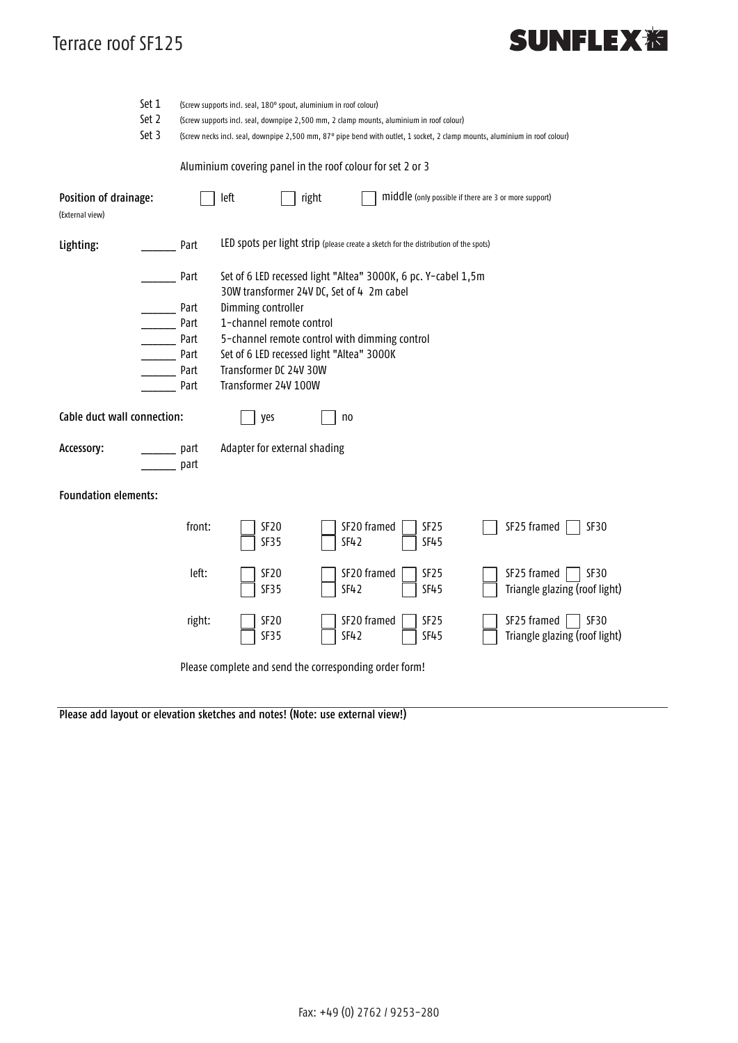#### Terrace roof SF125

## **SUNFLEX<sub>泡</sub>**

|                                                        | Set 1 | (Screw supports incl. seal, 180° spout, aluminium in roof colour)                                                          |                                                                                                            |       |             |                                                       |  |                                                                  |  |  |
|--------------------------------------------------------|-------|----------------------------------------------------------------------------------------------------------------------------|------------------------------------------------------------------------------------------------------------|-------|-------------|-------------------------------------------------------|--|------------------------------------------------------------------|--|--|
|                                                        | Set 2 | (Screw supports incl. seal, downpipe 2,500 mm, 2 clamp mounts, aluminium in roof colour)                                   |                                                                                                            |       |             |                                                       |  |                                                                  |  |  |
|                                                        | Set 3 | (Screw necks incl. seal, downpipe 2,500 mm, 87° pipe bend with outlet, 1 socket, 2 clamp mounts, aluminium in roof colour) |                                                                                                            |       |             |                                                       |  |                                                                  |  |  |
|                                                        |       | Aluminium covering panel in the roof colour for set 2 or 3                                                                 |                                                                                                            |       |             |                                                       |  |                                                                  |  |  |
| Position of drainage:<br>(External view)               |       |                                                                                                                            | left                                                                                                       | right |             | middle (only possible if there are 3 or more support) |  |                                                                  |  |  |
| Lighting:                                              |       | Part                                                                                                                       | LED spots per light strip (please create a sketch for the distribution of the spots)                       |       |             |                                                       |  |                                                                  |  |  |
|                                                        |       | Part                                                                                                                       | Set of 6 LED recessed light "Altea" 3000K, 6 pc. Y-cabel 1,5m<br>30W transformer 24V DC, Set of 4 2m cabel |       |             |                                                       |  |                                                                  |  |  |
|                                                        |       | Dimming controller<br>Part                                                                                                 |                                                                                                            |       |             |                                                       |  |                                                                  |  |  |
|                                                        |       | 1-channel remote control<br>Part                                                                                           |                                                                                                            |       |             |                                                       |  |                                                                  |  |  |
|                                                        |       | 5-channel remote control with dimming control<br>Part                                                                      |                                                                                                            |       |             |                                                       |  |                                                                  |  |  |
|                                                        |       | Part                                                                                                                       | Set of 6 LED recessed light "Altea" 3000K                                                                  |       |             |                                                       |  |                                                                  |  |  |
|                                                        |       | Part                                                                                                                       | Transformer DC 24V 30W                                                                                     |       |             |                                                       |  |                                                                  |  |  |
|                                                        |       | Part                                                                                                                       | Transformer 24V 100W                                                                                       |       |             |                                                       |  |                                                                  |  |  |
| Cable duct wall connection:                            |       |                                                                                                                            | yes<br>no                                                                                                  |       |             |                                                       |  |                                                                  |  |  |
| Accessory:                                             |       | part<br>part                                                                                                               | Adapter for external shading                                                                               |       |             |                                                       |  |                                                                  |  |  |
| <b>Foundation elements:</b>                            |       |                                                                                                                            |                                                                                                            |       |             |                                                       |  |                                                                  |  |  |
|                                                        |       | front:                                                                                                                     | SF <sub>20</sub><br><b>SF35</b>                                                                            | SF42  | SF20 framed | SF <sub>25</sub><br><b>SF45</b>                       |  | SF25 framed<br>SF30                                              |  |  |
|                                                        |       | left:                                                                                                                      | SF <sub>20</sub><br><b>SF35</b>                                                                            | SF42  | SF20 framed | SF <sub>25</sub><br><b>SF45</b>                       |  | SF25 framed<br>SF30<br>Triangle glazing (roof light)             |  |  |
|                                                        |       | right:                                                                                                                     | SF <sub>20</sub><br><b>SF35</b>                                                                            | SF42  | SF20 framed | SF <sub>25</sub><br><b>SF45</b>                       |  | $SF25$ framed  <br>$\vert$ SF30<br>Triangle glazing (roof light) |  |  |
| Please complete and send the corresponding order form! |       |                                                                                                                            |                                                                                                            |       |             |                                                       |  |                                                                  |  |  |

Please add layout or elevation sketches and notes! (Note: use external view!)